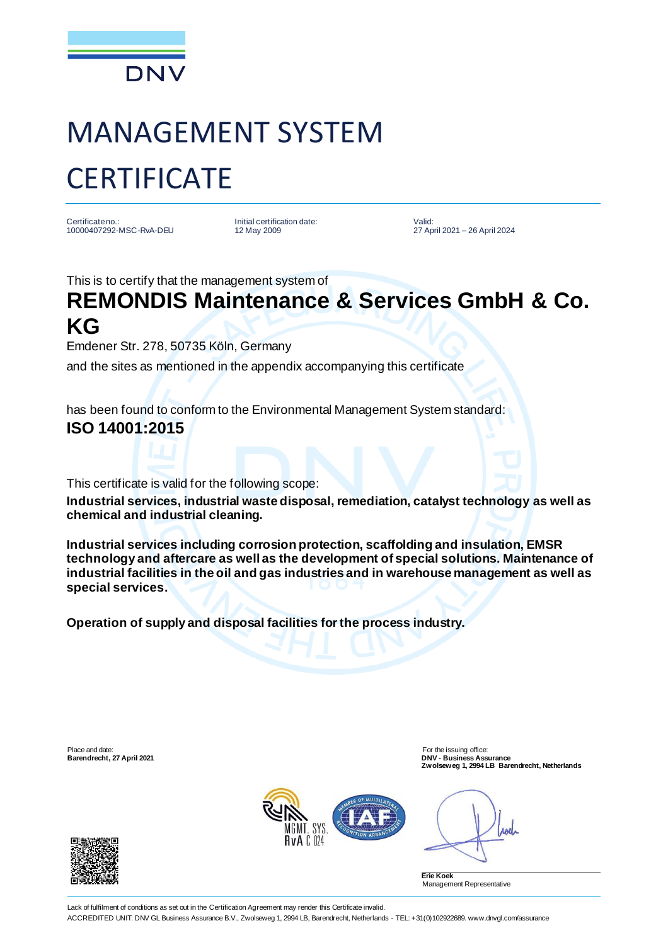

## MANAGEMENT SYSTEM **CERTIFICATE**

Certificate no.: 10000407292-MSC-RvA-DEU Initial certification date: 12 May 2009

Valid: 27 April 2021 – 26 April 2024

This is to certify that the management system of

## **REMONDIS Maintenance & Services GmbH & Co. KG**

Emdener Str. 278, 50735 Köln, Germany

and the sites as mentioned in the appendix accompanying this certificate

has been found to conform to the Environmental Management System standard: **ISO 14001:2015**

This certificate is valid for the following scope:

**Industrial services, industrial waste disposal, remediation, catalyst technology as well as chemical and industrial cleaning.**

**Industrial services including corrosion protection, scaffolding and insulation, EMSR technology and aftercare as well as the development of special solutions. Maintenance of industrial facilities in the oil and gas industries and in warehouse management as well as special services.**

**Operation of supply and disposal facilities for the process industry.**

Place and date: For the issuing office:<br> **Barendrecht, 27 April 2021 Example 2021 Example 2021 Example 2021 Example 2021 Example 2021** 

**Barendrecht, 27 April 2021 DNV - Business Assurance Zwolseweg 1, 2994 LB Barendrecht, Netherlands**



Anel



**Erie Koek** Management Representative

Lack of fulfilment of conditions as set out in the Certification Agreement may render this Certificate invalid. ACCREDITED UNIT: DNV GL Business Assurance B.V., Zwolseweg 1, 2994 LB, Barendrecht, Netherlands - TEL: +31(0)102922689. www.dnvgl.com/assurance